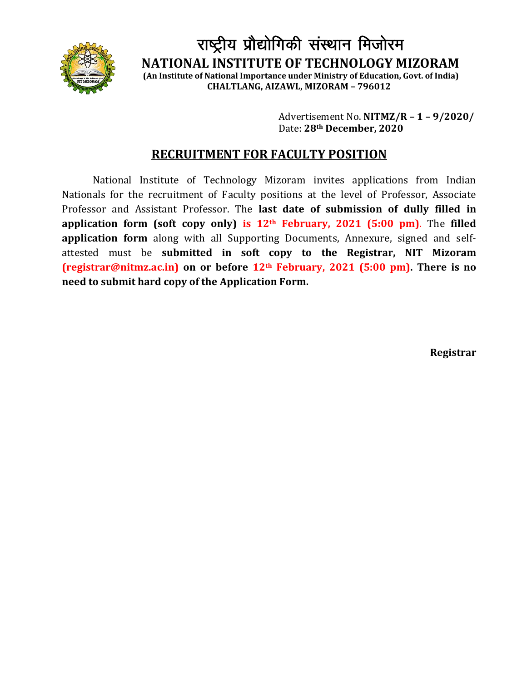

राष्ट्रीय प्रौद्योगिकी संस्थान मिजोरम **NATIONAL INSTITUTE OF TECHNOLOGY MIZORAM (An Institute of National Importance under Ministry of Education, Govt. of India)**

**CHALTLANG, AIZAWL, MIZORAM – 796012**

Advertisement No. **NITMZ/R – 1 – 9/2020/** Date: **28th December, 2020**

# **RECRUITMENT FOR FACULTY POSITION**

National Institute of Technology Mizoram invites applications from Indian Nationals for the recruitment of Faculty positions at the level of Professor, Associate Professor and Assistant Professor. The **last date of submission of dully filled in application form (soft copy only) is 12th February, 2021 (5:00 pm)**. The **filled application form** along with all Supporting Documents, Annexure, signed and selfattested must be **submitted in soft copy to the Registrar, NIT Mizoram [\(registrar@nitmz.ac.in\)](mailto:registrar@nitmz.ac.in) on or before 12th February, 2021 (5:00 pm). There is no need to submit hard copy of the Application Form.**

**Registrar**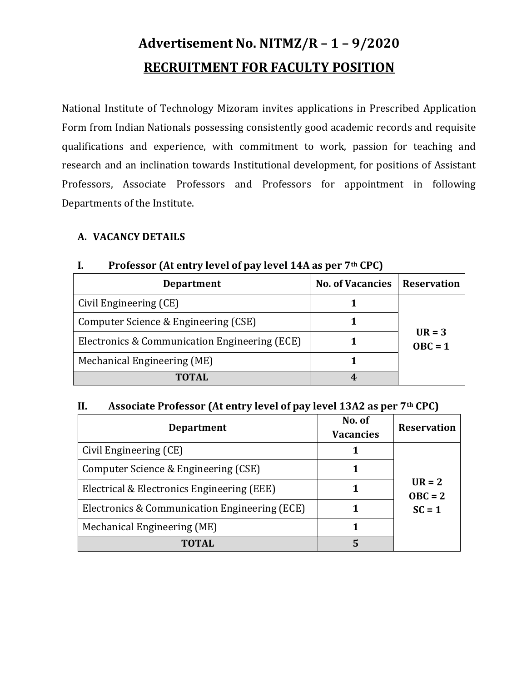# **Advertisement No. NITMZ/R – 1 – 9/2020 RECRUITMENT FOR FACULTY POSITION**

National Institute of Technology Mizoram invites applications in Prescribed Application Form from Indian Nationals possessing consistently good academic records and requisite qualifications and experience, with commitment to work, passion for teaching and research and an inclination towards Institutional development, for positions of Assistant Professors, Associate Professors and Professors for appointment in following Departments of the Institute.

#### **A. VACANCY DETAILS**

| <b>Department</b>                             | <b>No. of Vacancies</b> | <b>Reservation</b>    |  |
|-----------------------------------------------|-------------------------|-----------------------|--|
| Civil Engineering (CE)                        |                         | $UR = 3$<br>$OBC = 1$ |  |
| Computer Science & Engineering (CSE)          |                         |                       |  |
| Electronics & Communication Engineering (ECE) |                         |                       |  |
| Mechanical Engineering (ME)                   |                         |                       |  |
| <b>TOTAL</b>                                  |                         |                       |  |

#### **I. Professor (At entry level of pay level 14A as per 7th CPC)**

#### **II. Associate Professor (At entry level of pay level 13A2 as per 7th CPC)**

| <b>Department</b>                             | No. of<br><b>Vacancies</b> | <b>Reservation</b>                |
|-----------------------------------------------|----------------------------|-----------------------------------|
| Civil Engineering (CE)                        |                            | $UR = 2$<br>$OBC = 2$<br>$SC = 1$ |
| Computer Science & Engineering (CSE)          |                            |                                   |
| Electrical & Electronics Engineering (EEE)    |                            |                                   |
| Electronics & Communication Engineering (ECE) |                            |                                   |
| Mechanical Engineering (ME)                   |                            |                                   |
| TOTAL                                         | 5                          |                                   |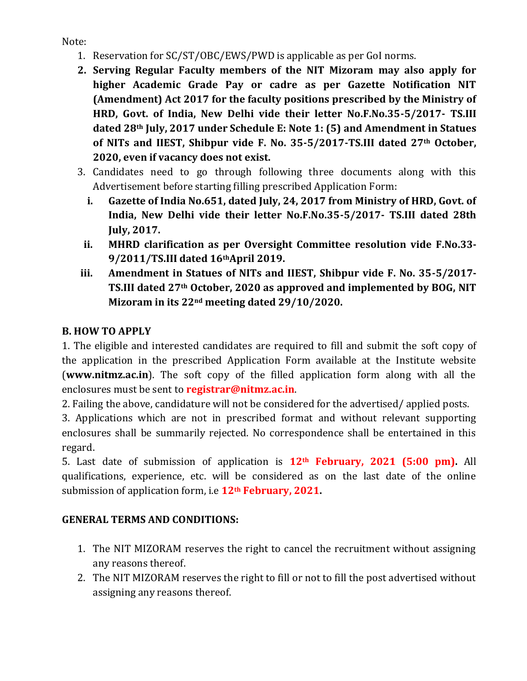Note:

- 1. Reservation for SC/ST/OBC/EWS/PWD is applicable as per GoI norms.
- **2. Serving Regular Faculty members of the NIT Mizoram may also apply for higher Academic Grade Pay or cadre as per Gazette Notification NIT (Amendment) Act 2017 for the faculty positions prescribed by the Ministry of HRD, Govt. of India, New Delhi vide their letter No.F.No.35-5/2017- TS.III dated 28th July, 2017 under Schedule E: Note 1: (5) and Amendment in Statues of NITs and IIEST, Shibpur vide F. No. 35-5/2017-TS.III dated 27th October, 2020, even if vacancy does not exist.**
- 3. Candidates need to go through following three documents along with this Advertisement before starting filling prescribed Application Form:
	- **i. Gazette of India No.651, dated July, 24, 2017 from Ministry of HRD, Govt. of India, New Delhi vide their letter No.F.No.35-5/2017- TS.III dated 28th July, 2017.**
- **ii. MHRD clarification as per Oversight Committee resolution vide F.No.33- 9/2011/TS.III dated 16thApril 2019.**
- **iii. Amendment in Statues of NITs and IIEST, Shibpur vide F. No. 35-5/2017- TS.III dated 27th October, 2020 as approved and implemented by BOG, NIT Mizoram in its 22nd meeting dated 29/10/2020.**

## **B. HOW TO APPLY**

1. The eligible and interested candidates are required to fill and submit the soft copy of the application in the prescribed Application Form available at the Institute website (**www.nitmz.ac.in**). The soft copy of the filled application form along with all the enclosures must be sent to **registrar@nitmz.ac.in**.

2. Failing the above, candidature will not be considered for the advertised/ applied posts.

3. Applications which are not in prescribed format and without relevant supporting enclosures shall be summarily rejected. No correspondence shall be entertained in this regard.

5. Last date of submission of application is **12th February, 2021 (5:00 pm).** All qualifications, experience, etc. will be considered as on the last date of the online submission of application form, i.e **12th February, 2021.**

## **GENERAL TERMS AND CONDITIONS:**

- 1. The NIT MIZORAM reserves the right to cancel the recruitment without assigning any reasons thereof.
- 2. The NIT MIZORAM reserves the right to fill or not to fill the post advertised without assigning any reasons thereof.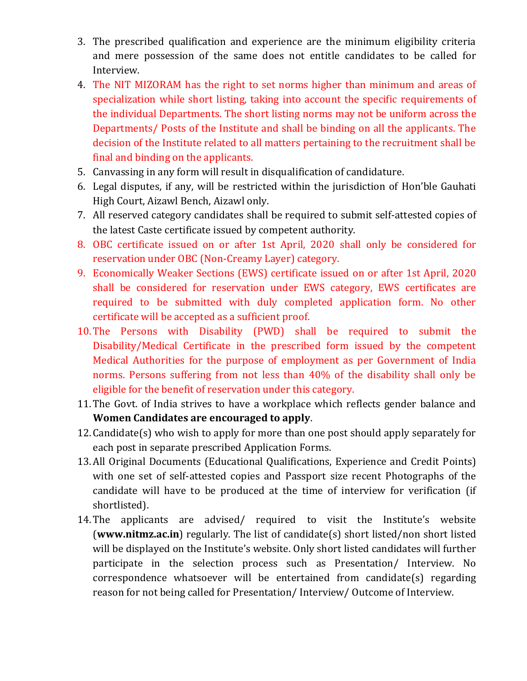- 3. The prescribed qualification and experience are the minimum eligibility criteria and mere possession of the same does not entitle candidates to be called for Interview.
- 4. The NIT MIZORAM has the right to set norms higher than minimum and areas of specialization while short listing, taking into account the specific requirements of the individual Departments. The short listing norms may not be uniform across the Departments/ Posts of the Institute and shall be binding on all the applicants. The decision of the Institute related to all matters pertaining to the recruitment shall be final and binding on the applicants.
- 5. Canvassing in any form will result in disqualification of candidature.
- 6. Legal disputes, if any, will be restricted within the jurisdiction of Hon'ble Gauhati High Court, Aizawl Bench, Aizawl only.
- 7. All reserved category candidates shall be required to submit self-attested copies of the latest Caste certificate issued by competent authority.
- 8. OBC certificate issued on or after 1st April, 2020 shall only be considered for reservation under OBC (Non-Creamy Layer) category.
- 9. Economically Weaker Sections (EWS) certificate issued on or after 1st April, 2020 shall be considered for reservation under EWS category, EWS certificates are required to be submitted with duly completed application form. No other certificate will be accepted as a sufficient proof.
- 10.The Persons with Disability (PWD) shall be required to submit the Disability/Medical Certificate in the prescribed form issued by the competent Medical Authorities for the purpose of employment as per Government of India norms. Persons suffering from not less than 40% of the disability shall only be eligible for the benefit of reservation under this category.
- 11.The Govt. of India strives to have a workplace which reflects gender balance and **Women Candidates are encouraged to apply**.
- 12.Candidate(s) who wish to apply for more than one post should apply separately for each post in separate prescribed Application Forms.
- 13.All Original Documents (Educational Qualifications, Experience and Credit Points) with one set of self-attested copies and Passport size recent Photographs of the candidate will have to be produced at the time of interview for verification (if shortlisted).
- 14.The applicants are advised/ required to visit the Institute's website (**[www.nitmz.ac.in](http://www.nitmz.ac.in/)**) regularly. The list of candidate(s) short listed/non short listed will be displayed on the Institute's website. Only short listed candidates will further participate in the selection process such as Presentation/ Interview. No correspondence whatsoever will be entertained from candidate(s) regarding reason for not being called for Presentation/ Interview/ Outcome of Interview.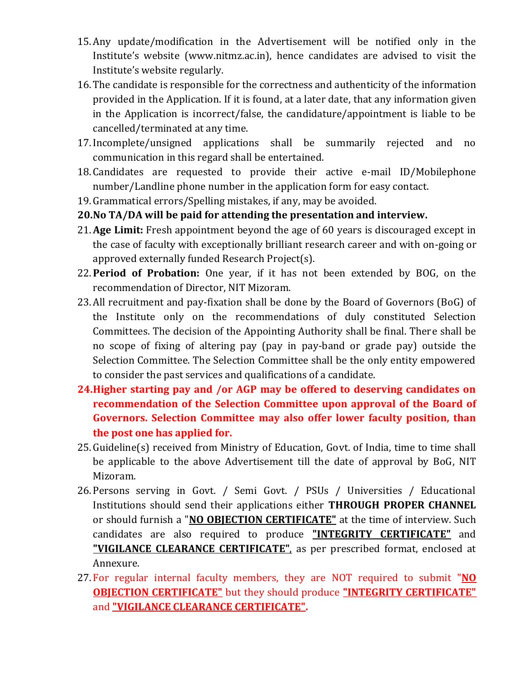- 15.Any update/modification in the Advertisement will be notified only in the Institute's website (www.nitmz.ac.in), hence candidates are advised to visit the Institute's website regularly.
- 16.The candidate is responsible for the correctness and authenticity of the information provided in the Application. If it is found, at a later date, that any information given in the Application is incorrect/false, the candidature/appointment is liable to be cancelled/terminated at any time.
- 17.Incomplete/unsigned applications shall be summarily rejected and no communication in this regard shall be entertained.
- 18.Candidates are requested to provide their active e-mail ID/Mobilephone number/Landline phone number in the application form for easy contact.
- 19.Grammatical errors/Spelling mistakes, if any, may be avoided.
- **20.No TA/DA will be paid for attending the presentation and interview.**
- 21.**Age Limit:** Fresh appointment beyond the age of 60 years is discouraged except in the case of faculty with exceptionally brilliant research career and with on-going or approved externally funded Research Project(s).
- 22.**Period of Probation:** One year, if it has not been extended by BOG, on the recommendation of Director, NIT Mizoram.
- 23.All recruitment and pay-fixation shall be done by the Board of Governors (BoG) of the Institute only on the recommendations of duly constituted Selection Committees. The decision of the Appointing Authority shall be final. There shall be no scope of fixing of altering pay (pay in pay-band or grade pay) outside the Selection Committee. The Selection Committee shall be the only entity empowered to consider the past services and qualifications of a candidate.
- **24.Higher starting pay and /or AGP may be offered to deserving candidates on recommendation of the Selection Committee upon approval of the Board of Governors. Selection Committee may also offer lower faculty position, than the post one has applied for.**
- 25.Guideline(s) received from Ministry of Education, Govt. of India, time to time shall be applicable to the above Advertisement till the date of approval by BoG, NIT Mizoram.
- 26.Persons serving in Govt. / Semi Govt. / PSUs / Universities / Educational Institutions should send their applications either **THROUGH PROPER CHANNEL** or should furnish a "**NO OBJECTION CERTIFICATE"** at the time of interview. Such candidates are also required to produce **"INTEGRITY CERTIFICATE"** and **"VIGILANCE CLEARANCE CERTIFICATE"**, as per prescribed format, enclosed at Annexure.
- 27.For regular internal faculty members, they are NOT required to submit "**NO OBJECTION CERTIFICATE"** but they should produce **"INTEGRITY CERTIFICATE"** and **"VIGILANCE CLEARANCE CERTIFICATE".**